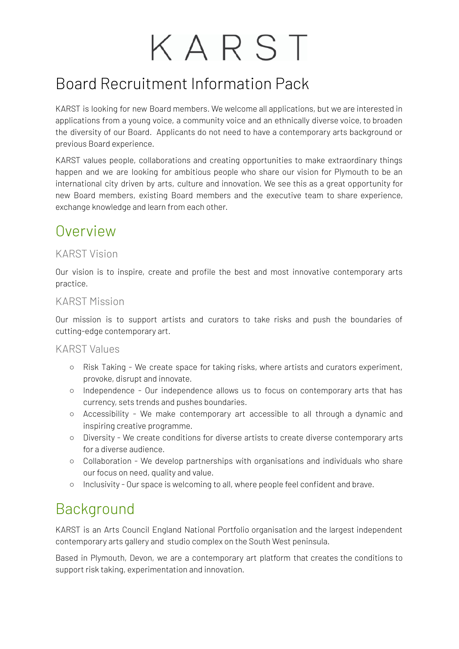# KARST

## Board Recruitment Information Pack

KARST is looking for new Board members. We welcome all applications, but we are interested in applications from a young voice, a community voice and an ethnically diverse voice, to broaden the diversity of our Board. Applicants do not need to have a contemporary arts background or previous Board experience.

KARST values people, collaborations and creating opportunities to make extraordinary things happen and we are looking for ambitious people who share our vision for Plymouth to be an international city driven by arts, culture and innovation. We see this as a great opportunity for new Board members, existing Board members and the executive team to share experience, exchange knowledge and learn from each other.

#### Overview

#### KARST Vision

Our vision is to inspire, create and profile the best and most innovative contemporary arts practice.

#### KARST Mission

Our mission is to support artists and curators to take risks and push the boundaries of cutting-edge contemporary art.

#### KARST Values

- Risk Taking We create space for taking risks, where artists and curators experiment, provoke, disrupt and innovate.
- Independence Our independence allows us to focus on contemporary arts that has currency, sets trends and pushes boundaries.
- Accessibility We make contemporary art accessible to all through a dynamic and inspiring creative programme.
- Diversity We create conditions for diverse artists to create diverse contemporary arts for a diverse audience.
- Collaboration We develop partnerships with organisations and individuals who share our focus on need, quality and value.
- Inclusivity Our space is welcoming to all, where people feel confident and brave.

## Background

KARST is an Arts Council England National Portfolio organisation and the largest independent contemporary arts gallery and studio complex on the South West peninsula.

Based in Plymouth, Devon, we are a contemporary art platform that creates the conditions to support risk taking, experimentation and innovation.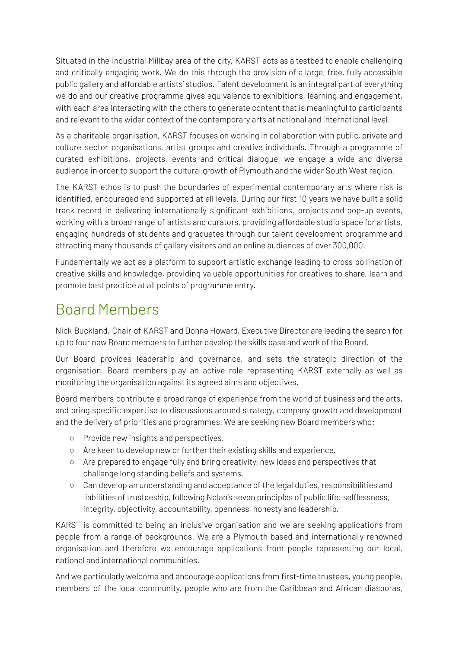Situated in the industrial Millbay area of the city, KARST acts as a testbed to enable challenging and critically engaging work. We do this through the provision of a large, free, fully accessible public gallery and affordable artists' studios. Talent development is an integral part of everything we do and our creative programme gives equivalence to exhibitions, learning and engagement, with each area interacting with the others to generate content that is meaningful to participants and relevant to the wider context of the contemporary arts at national and international level.

As a charitable organisation, KARST focuses on working in collaboration with public, private and culture sector organisations, artist groups and creative individuals. Through a programme of curated exhibitions, projects, events and critical dialogue, we engage a wide and diverse audience in order to support the cultural growth of Plymouth and the wider South West region.

The KARST ethos is to push the boundaries of experimental contemporary arts where risk is identified, encouraged and supported at all levels. During our first 10 years we have built a solid track record in delivering internationally significant exhibitions, projects and pop-up events, working with a broad range of artists and curators, providing affordable studio space for artists, engaging hundreds of students and graduates through our talent development programme and attracting many thousands of gallery visitors and an online audiences of over 300,000.

Fundamentally we act as a platform to support artistic exchange leading to cross pollination of creative skills and knowledge, providing valuable opportunities for creatives to share, learn and promote best practice at all points of programme entry.

### Board Members

Nick Buckland, Chair of KARST and Donna Howard, Executive Director are leading the search for up to four new Board members to further develop the skills base and work of the Board.

Our Board provides leadership and governance, and sets the strategic direction of the organisation. Board members play an active role representing KARST externally as well as monitoring the organisation against its agreed aims and objectives.

Board members contribute a broad range of experience from the world of business and the arts, and bring specific expertise to discussions around strategy, company growth and development and the delivery of priorities and programmes. We are seeking new Board members who:

- Provide new insights and perspectives.
- Are keen to develop new or further their existing skills and experience.
- Are prepared to engage fully and bring creativity, new ideas and perspectives that challenge long standing beliefs and systems.
- Can develop an understanding and acceptance of the legal duties, responsibilities and liabilities of trusteeship, following Nolan's seven principles of public life: selflessness, integrity, objectivity, accountability, openness, honesty and leadership.

KARST is committed to being an inclusive organisation and we are seeking applications from people from a range of backgrounds. We are a Plymouth based and internationally renowned organisation and therefore we encourage applications from people representing our local, national and international communities.

And we particularly welcome and encourage applications from first-time trustees, young people, members of the local community, people who are from the Caribbean and African diasporas,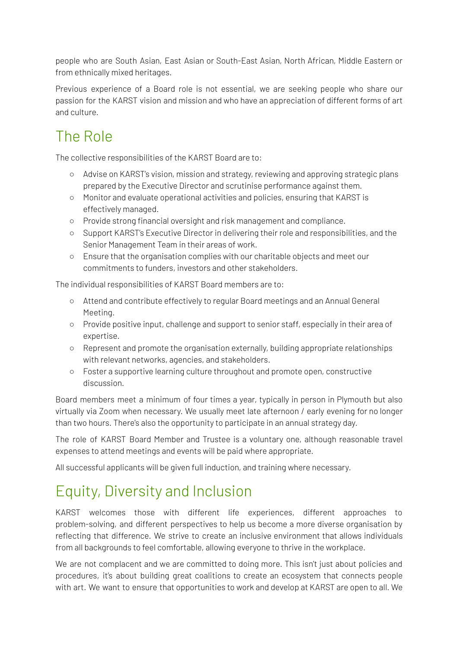people who are South Asian, East Asian or South-East Asian, North African, Middle Eastern or from ethnically mixed heritages.

Previous experience of a Board role is not essential, we are seeking people who share our passion for the KARST vision and mission and who have an appreciation of different forms of art and culture.

# The Role

The collective responsibilities of the KARST Board are to:

- Advise on KARST's vision, mission and strategy, reviewing and approving strategic plans prepared by the Executive Director and scrutinise performance against them.
- Monitor and evaluate operational activities and policies, ensuring that KARST is effectively managed.
- Provide strong financial oversight and risk management and compliance.
- Support KARST's Executive Director in delivering their role and responsibilities, and the Senior Management Team in their areas of work.
- Ensure that the organisation complies with our charitable objects and meet our commitments to funders, investors and other stakeholders.

The individual responsibilities of KARST Board members are to:

- Attend and contribute effectively to regular Board meetings and an Annual General Meeting.
- Provide positive input, challenge and support to senior staff, especially in their area of expertise.
- Represent and promote the organisation externally, building appropriate relationships with relevant networks, agencies, and stakeholders.
- Foster a supportive learning culture throughout and promote open, constructive discussion.

Board members meet a minimum of four times a year, typically in person in Plymouth but also virtually via Zoom when necessary. We usually meet late afternoon / early evening for no longer than two hours. There's also the opportunity to participate in an annual strategy day.

The role of KARST Board Member and Trustee is a voluntary one, although reasonable travel expenses to attend meetings and events will be paid where appropriate.

All successful applicants will be given full induction, and training where necessary.

# Equity, Diversity and Inclusion

KARST welcomes those with different life experiences, different approaches to problem-solving, and different perspectives to help us become a more diverse organisation by reflecting that difference. We strive to create an inclusive environment that allows individuals from all backgrounds to feel comfortable, allowing everyone to thrive in the workplace.

We are not complacent and we are committed to doing more. This isn't just about policies and procedures, it's about building great coalitions to create an ecosystem that connects people with art. We want to ensure that opportunities to work and develop at KARST are open to all. We